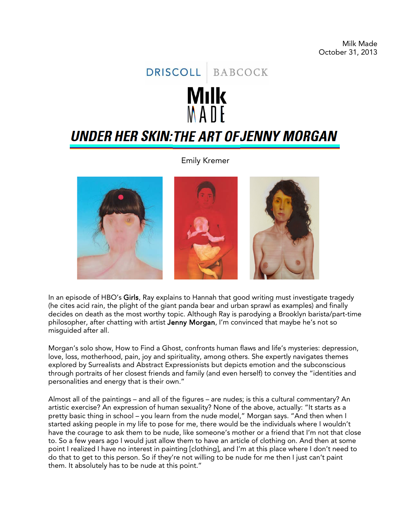## DRISCOLL BABCOCK **Milk** MANF **UNDER HER SKIN: THE ART OF JENNY MORGAN**

Emily Kremer



In an episode of HBO's Girls, Ray explains to Hannah that good writing must investigate tragedy (he cites acid rain, the plight of the giant panda bear and urban sprawl as examples) and finally decides on death as the most worthy topic. Although Ray is parodying a Brooklyn barista/part-time philosopher, after chatting with artist Jenny Morgan, I'm convinced that maybe he's not so misguided after all.

Morgan's solo show, How to Find a Ghost, confronts human flaws and life's mysteries: depression, love, loss, motherhood, pain, joy and spirituality, among others. She expertly navigates themes explored by Surrealists and Abstract Expressionists but depicts emotion and the subconscious through portraits of her closest friends and family (and even herself) to convey the "identities and personalities and energy that is their own."

Almost all of the paintings – and all of the figures – are nudes; is this a cultural commentary? An artistic exercise? An expression of human sexuality? None of the above, actually: "It starts as a pretty basic thing in school – you learn from the nude model," Morgan says. "And then when I started asking people in my life to pose for me, there would be the individuals where I wouldn't have the courage to ask them to be nude, like someone's mother or a friend that I'm not that close to. So a few years ago I would just allow them to have an article of clothing on. And then at some point I realized I have no interest in painting [clothing], and I'm at this place where I don't need to do that to get to this person. So if they're not willing to be nude for me then I just can't paint them. It absolutely has to be nude at this point."